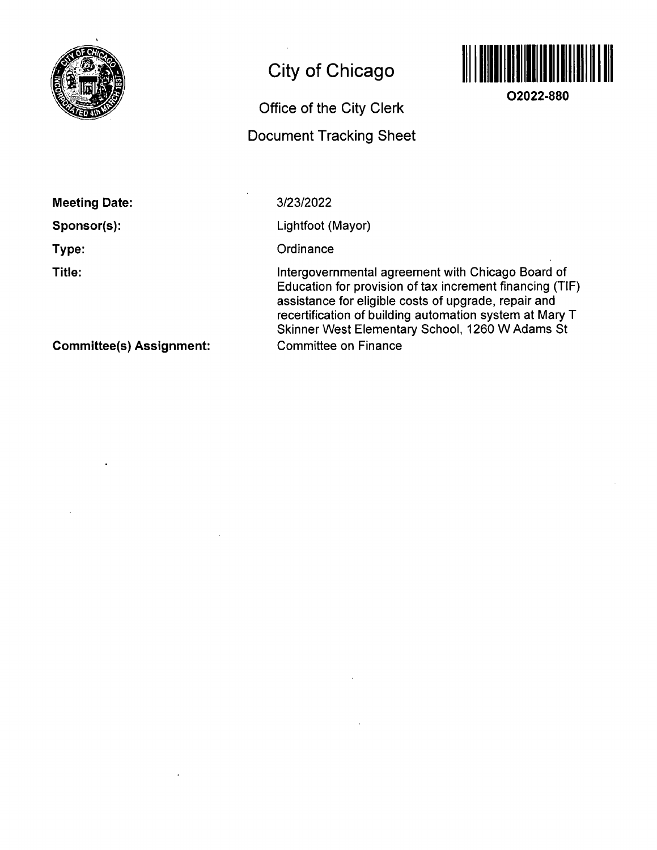

# **City of Chicago**

# **Office of the City Clerk**

# **Docunnent Tracking Sheet**



**02022-880** 

**Meeting Date:** 

**Sponsor(s):** 

**Type:** 

**Title:** 

3/23/2022

Lightfoot (Mayor)

**Ordinance** 

Intergovernmental agreement with Chicago Board of Education for provision of fax increment financing (TIF) assistance for eligible costs of upgrade, repair and recertification of building automation system at Mary T Skinner West Elementary School, 1260 W Adams St Committee on Finance

**Committee(s) Assignment:**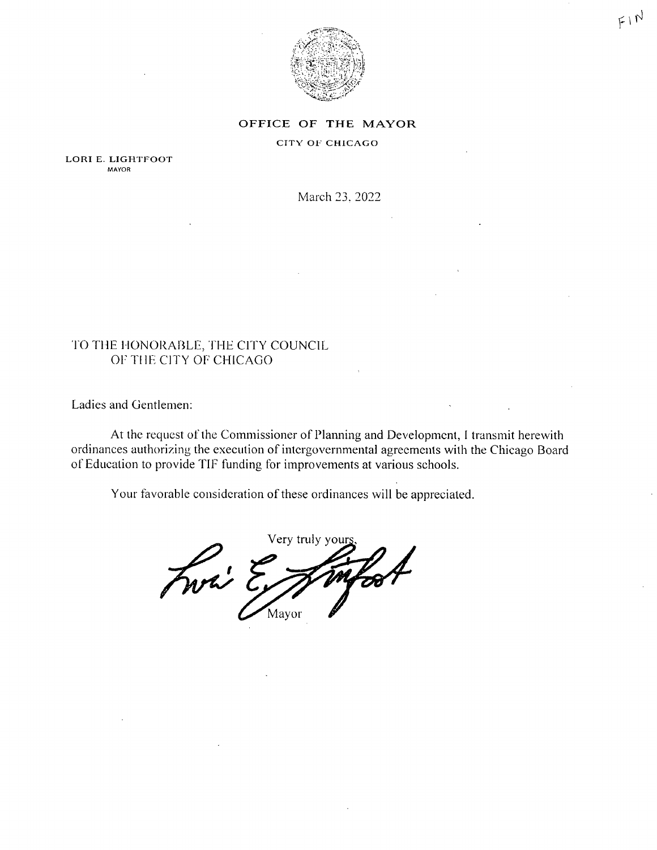

#### OFFICE OF THE MAYOR

### CITY OF CHICAGO

LORI E. LIGHTFOOT MAYOR

March 23. 2022

# TO THE HONORABLE, THE CITY COUNCIL OF THE CITY OF CHICAGO

Ladies and Gentlemen:

At the request of the Commissioner of Planning and Development, I transmit herewith ordinances authorizing the execution of intergovernmental agreements with the Chicago Board of Education to provide TIF funding for improvements at various schools.

Your favorable consideration of these ordinances will be appreciated.

Very truly your Fwi ? Mayor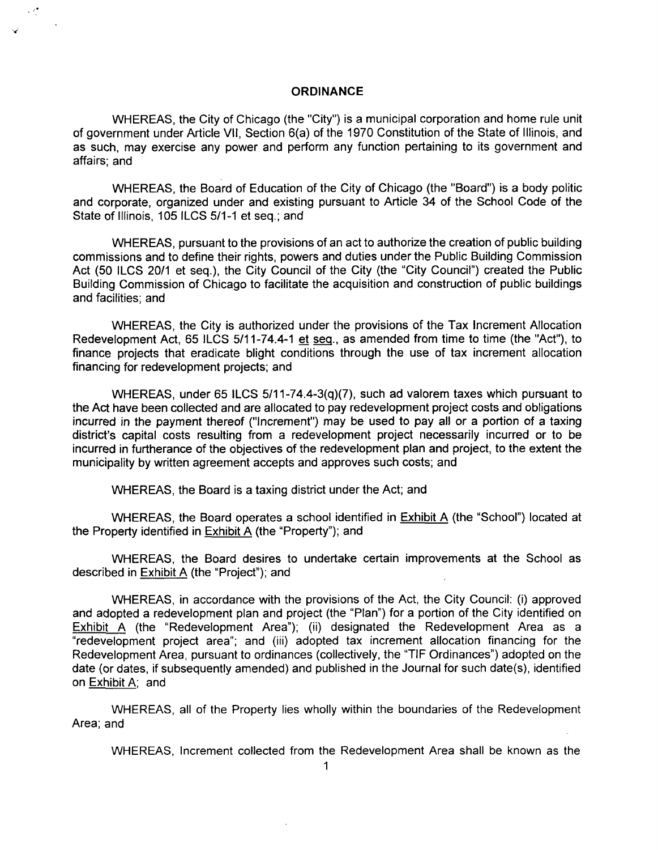## **ORDINANCE**

WHEREAS, the City of Chicago (the "City") is a municipal corporation and home rule unit of government under Article Vll, Section 6(a) of the 1970 Constitution of the State of Illinois, and as such, may exercise any power and perform any function pertaining to its government and affairs; and

WHEREAS, the Board of Education of the City of Chicago (the "Board") is a body politic and corporate, organized under and existing pursuant to Article 34 of the School Code of the State of Illinois, 105 ILCS 5/1-1 et seq.; and

WHEREAS, pursuant to the provisions of an act to authorize the creation of public building commissions and to define their rights, powers and duties under the Public Building Commission Act (50 ILCS 20/1 et seq.), the City Council of the City (the "City Council") created the Public Building Commission of Chicago to facilitate the acquisition and construction of public buildings and facilities; and

WHEREAS, the City is authorized under the provisions of the Tax Increment Allocation Redevelopment Act, 65 ILCS 5/11-74.4-1 et seg., as amended from time to time (the "Act"), to finance projects that eradicate blight conditions through the use of tax increment allocation financing for redevelopment projects; and

WHEREAS, under 65 ILCS 5/11-74.4-3(q)(7), such ad valorem taxes which pursuant to the Act have been collected and are allocated to pay redevelopment project costs and obligations incurred in the payment thereof ("Increment") may be used to pay all or a portion of a taxing district's capital costs resulting from a redevelopment project necessarily incurred or to be incurred in furtherance of the objectives of the redevelopment plan and project, to the extent the municipality by written agreement accepts and approves such costs; and

WHEREAS, the Board is a taxing district under the Act; and

WHEREAS, the Board operates a school identified in **Exhibit A** (the "School") located at the Property identified in Exhibit A (the "Property"); and

WHEREAS, the Board desires to undertake certain improvements at the School as described in Exhibit A (the "Project"); and

WHEREAS, in accordance with the provisions of the Act, the City Council: (i) approved and adopted a redevelopment plan and project (the "Plan") for a portion of the City identified on Exhibit A (the "Redevelopment Area"); (ii) designated the Redevelopment Area as a "redevelopment project area"; and (iii) adopted tax increment allocation financing for the Redevelopment Area, pursuant to ordinances (collectively, the "TIF Ordinances") adopted on the date (or dates, if subsequently amended) and published in the Journal for such date(s), identified on Exhibit A: and

WHEREAS, all of the Property lies wholly within the boundaries of the Redevelopment Area; and

WHEREAS, Increment collected from the Redevelopment Area shall be known as the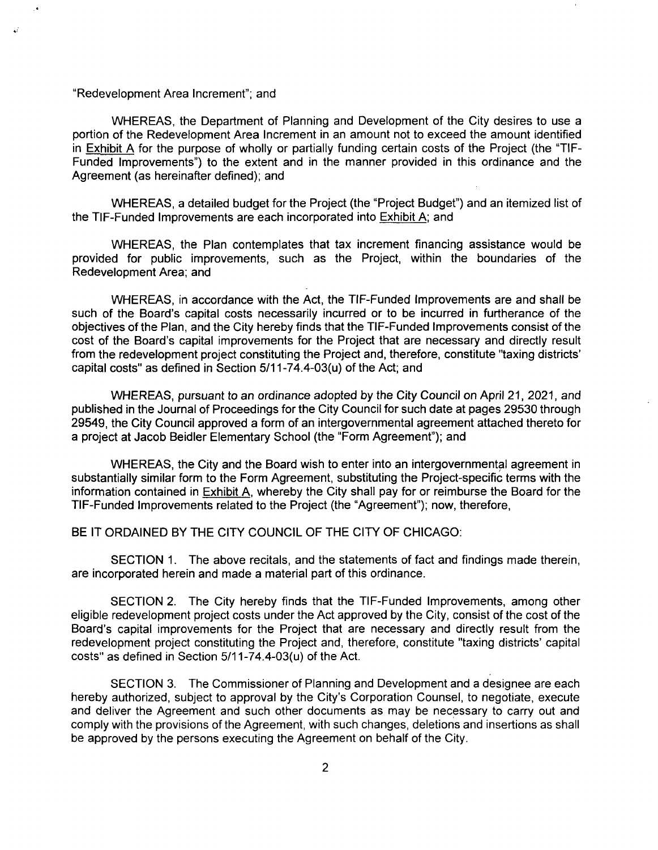#### "Redevelopment Area Increment"; and

WHEREAS, the Department of Planning and Development of the City desires to use a portion of the Redevelopment Area Increment in an amount not to exceed the amount identified in Exhibit A for the purpose of wholly or partially funding certain costs of the Project (the "TIF-Funded Improvements") to the extent and in the manner provided in this ordinance and the Agreement (as hereinafter defined); and

WHEREAS, a detailed budget forthe Project (the "Project Budget") and an itemized list of the TIF-Funded Improvements are each incorporated into Exhibit A; and

WHEREAS, the Plan contemplates that tax increment financing assistance would be provided for public improvements, such as the Project, within the boundaries of the Redevelopment Area; and

WHEREAS, in accordance with the Act, the TIF-Funded Improvements are and shall be such of the Board's capital costs necessarily incurred or to be incurred in furtherance of the objectives of the Plan, and the City hereby finds that the TIF-Funded Improvements consist of the cost of the Board's capital improvements for the Project that are necessary and directly result from the redevelopment project constituting the Project and, therefore, constitute "taxing districts' capital costs" as defined in Section 5/11-74.4-03(u) of the Act; and

WHEREAS, pursuant to an ordinance adopted by the City Council on April 21, 2021, and published in the Journal of Proceedings for the City Council for such date at pages 29530 through 29549, the City Council approved a form of an intergovernmental agreement attached thereto for a project at Jacob Beidler Elementary School (the "Form Agreement"); and

WHEREAS, the City and the Board wish to enter into an intergovernmental agreement in substantially similar form to the Form Agreement, substituting the Project-specific terms with the information contained in Exhibit A, whereby the City shall pay for or reimburse the Board for the TIF-Funded Improvements related to the Project (the "Agreement"); now, therefore,

## BE IT ORDAINED BY THE CITY COUNCIL OF THE CITY OF CHICAGO:

SECTION 1. The above recitals, and the statements of fact and findings made therein, are incorporated herein and made a material part of this ordinance.

SECTION 2, The City hereby finds that the TIF-Funded Improvements, among other eligible redevelopment project costs under the Act approved by the City, consist of the cost of the Board's capital improvements for the Project that are necessary and directly result from the redevelopment project constituting the Project and, therefore, constitute "taxing districts' capital costs" as defined in Section 5/11-74.4-03(u) of the Act.

SECTION 3. The Commissioner of Planning and Development and a designee are each hereby authorized, subject to approval by the City's Corporation Counsel, to negotiate, execute and deliver the Agreement and such other documents as may be necessary to carry out and comply with the provisions of the Agreement, with such changes, deletions and insertions as shall be approved by the persons executing the Agreement on behalf of the City.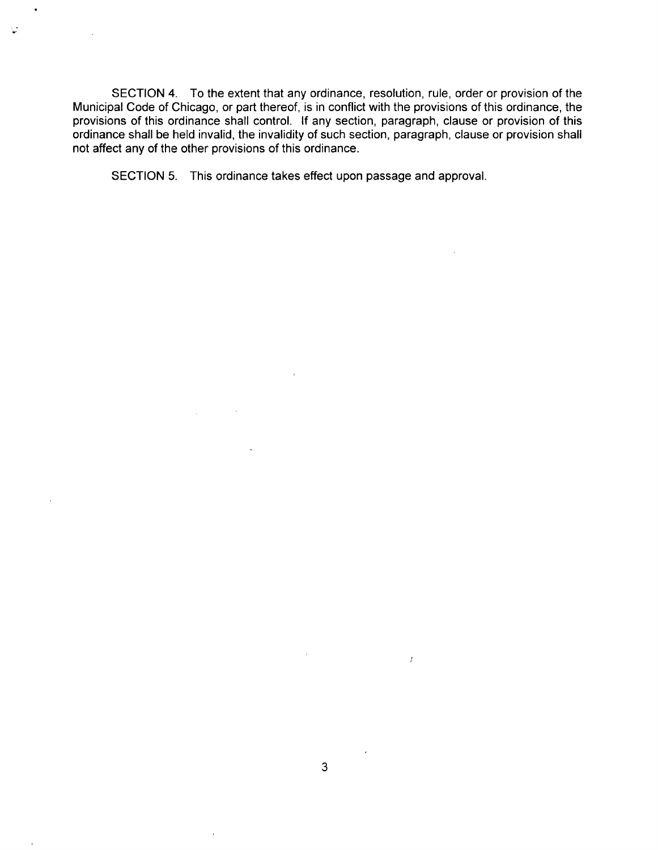SECTION 4. To the extent that any ordinance, resolution, rule, order or provision of the Municipal Code of Chicago, or part thereof, is in conflict with the provisions of this ordinance, the provisions of this ordinance shall control. If any section, paragraph, clause or provision of this ordinance shall be held invalid, the invalidity of such section, paragraph, clause or provision shall not affect any of the other provisions of this ordinance.

SECTION 5. This ordinance takes effect upon passage and approval.

V

 $\bar{f}$